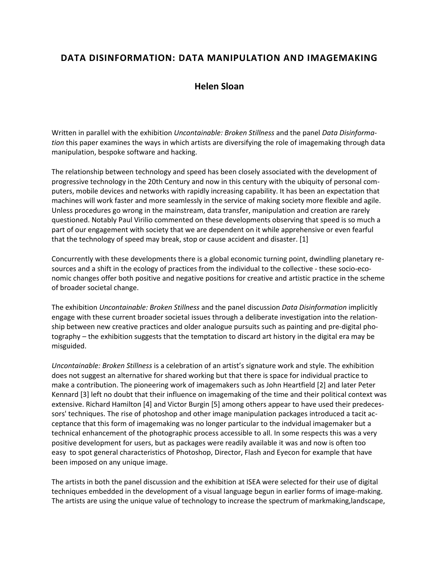## **DATA DISINFORMATION: DATA MANIPULATION AND IMAGEMAKING**

## **Helen Sloan**

Written in parallel with the exhibition *Uncontainable: Broken Stillness* and the panel *Data Disinformation* this paper examines the ways in which artists are diversifying the role of imagemaking through data manipulation, bespoke software and hacking.

The relationship between technology and speed has been closely associated with the development of progressive technology in the 20th Century and now in this century with the ubiquity of personal computers, mobile devices and networks with rapidly increasing capability. It has been an expectation that machines will work faster and more seamlessly in the service of making society more flexible and agile. Unless procedures go wrong in the mainstream, data transfer, manipulation and creation are rarely questioned. Notably Paul Virilio commented on these developments observing that speed is so much a part of our engagement with society that we are dependent on it while apprehensive or even fearful that the technology of speed may break, stop or cause accident and disaster. [1]

Concurrently with these developments there is a global economic turning point, dwindling planetary resources and a shift in the ecology of practices from the individual to the collective - these socio-economic changes offer both positive and negative positions for creative and artistic practice in the scheme of broader societal change.

The exhibition *Uncontainable: Broken Stillness* and the panel discussion *Data Disinformation* implicitly engage with these current broader societal issues through a deliberate investigation into the relationship between new creative practices and older analogue pursuits such as painting and pre-digital photography – the exhibition suggests that the temptation to discard art history in the digital era may be misguided.

*Uncontainable: Broken Stillness* is a celebration of an artist's signature work and style. The exhibition does not suggest an alternative for shared working but that there is space for individual practice to make a contribution. The pioneering work of imagemakers such as John Heartfield [2] and later Peter Kennard [3] left no doubt that their influence on imagemaking of the time and their political context was extensive. Richard Hamilton [4] and Victor Burgin [5] among others appear to have used their predecessors' techniques. The rise of photoshop and other image manipulation packages introduced a tacit acceptance that this form of imagemaking was no longer particular to the indvidual imagemaker but a technical enhancement of the photographic process accessible to all. In some respects this was a very positive development for users, but as packages were readily available it was and now is often too easy to spot general characteristics of Photoshop, Director, Flash and Eyecon for example that have been imposed on any unique image.

The artists in both the panel discussion and the exhibition at ISEA were selected for their use of digital techniques embedded in the development of a visual language begun in earlier forms of image-making. The artists are using the unique value of technology to increase the spectrum of markmaking,landscape,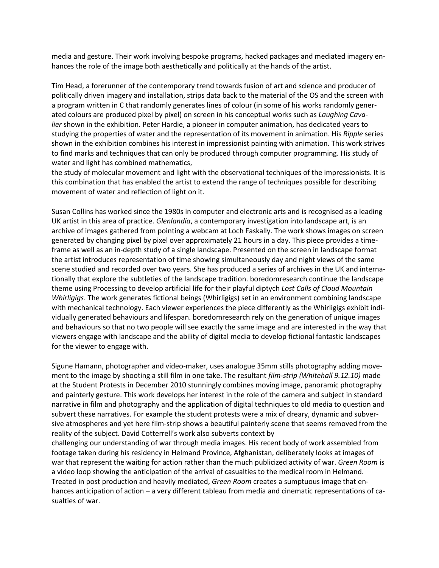media and gesture. Their work involving bespoke programs, hacked packages and mediated imagery enhances the role of the image both aesthetically and politically at the hands of the artist.

Tim Head, a forerunner of the contemporary trend towards fusion of art and science and producer of politically driven imagery and installation, strips data back to the material of the OS and the screen with a program written in C that randomly generates lines of colour (in some of his works randomly generated colours are produced pixel by pixel) on screen in his conceptual works such as *Laughing Cavalier* shown in the exhibition. Peter Hardie, a pioneer in computer animation, has dedicated years to studying the properties of water and the representation of its movement in animation. His *Ripple* series shown in the exhibition combines his interest in impressionist painting with animation. This work strives to find marks and techniques that can only be produced through computer programming. His study of water and light has combined mathematics,

the study of molecular movement and light with the observational techniques of the impressionists. It is this combination that has enabled the artist to extend the range of techniques possible for describing movement of water and reflection of light on it.

Susan Collins has worked since the 1980s in computer and electronic arts and is recognised as a leading UK artist in this area of practice. *Glenlandia*, a contemporary investigation into landscape art, is an archive of images gathered from pointing a webcam at Loch Faskally. The work shows images on screen generated by changing pixel by pixel over approximately 21 hours in a day. This piece provides a timeframe as well as an in-depth study of a single landscape. Presented on the screen in landscape format the artist introduces representation of time showing simultaneously day and night views of the same scene studied and recorded over two years. She has produced a series of archives in the UK and internationally that explore the subtleties of the landscape tradition. boredomresearch continue the landscape theme using Processing to develop artificial life for their playful diptych *Lost Calls of Cloud Mountain Whirligigs*. The work generates fictional beings (Whirligigs) set in an environment combining landscape with mechanical technology. Each viewer experiences the piece differently as the Whirligigs exhibit individually generated behaviours and lifespan. boredomresearch rely on the generation of unique images and behaviours so that no two people will see exactly the same image and are interested in the way that viewers engage with landscape and the ability of digital media to develop fictional fantastic landscapes for the viewer to engage with.

Sigune Hamann, photographer and video-maker, uses analogue 35mm stills photography adding movement to the image by shooting a still film in one take. The resultant *film-strip (Whitehall 9.12.10)* made at the Student Protests in December 2010 stunningly combines moving image, panoramic photography and painterly gesture. This work develops her interest in the role of the camera and subject in standard narrative in film and photography and the application of digital techniques to old media to question and subvert these narratives. For example the student protests were a mix of dreary, dynamic and subversive atmospheres and yet here film-strip shows a beautiful painterly scene that seems removed from the reality of the subject. David Cotterrell's work also subverts context by

challenging our understanding of war through media images. His recent body of work assembled from footage taken during his residency in Helmand Province, Afghanistan, deliberately looks at images of war that represent the waiting for action rather than the much publicized activity of war. *Green Room* is a video loop showing the anticipation of the arrival of casualties to the medical room in Helmand. Treated in post production and heavily mediated, *Green Room* creates a sumptuous image that enhances anticipation of action – a very different tableau from media and cinematic representations of casualties of war.